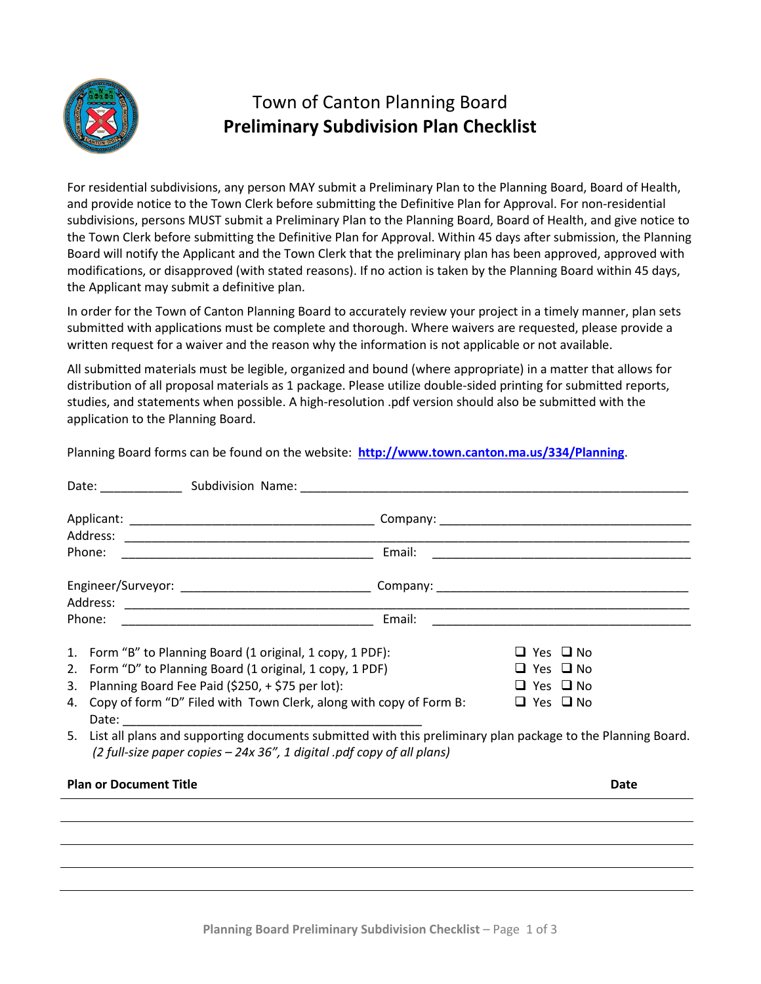

## Town of Canton Planning Board **Preliminary Subdivision Plan Checklist**

For residential subdivisions, any person MAY submit a Preliminary Plan to the Planning Board, Board of Health, and provide notice to the Town Clerk before submitting the Definitive Plan for Approval. For non-residential subdivisions, persons MUST submit a Preliminary Plan to the Planning Board, Board of Health, and give notice to the Town Clerk before submitting the Definitive Plan for Approval. Within 45 days after submission, the Planning Board will notify the Applicant and the Town Clerk that the preliminary plan has been approved, approved with modifications, or disapproved (with stated reasons). If no action is taken by the Planning Board within 45 days, the Applicant may submit a definitive plan.

In order for the Town of Canton Planning Board to accurately review your project in a timely manner, plan sets submitted with applications must be complete and thorough. Where waivers are requested, please provide a written request for a waiver and the reason why the information is not applicable or not available.

All submitted materials must be legible, organized and bound (where appropriate) in a matter that allows for distribution of all proposal materials as 1 package. Please utilize double-sided printing for submitted reports, studies, and statements when possible. A high-resolution .pdf version should also be submitted with the application to the Planning Board.

Planning Board forms can be found on the website: **<http://www.town.canton.ma.us/334/Planning>**.

|                                                                                                                                                                                                                                                                                                                                                                                                                                                       |  | Email: |                                              |                                              |  |
|-------------------------------------------------------------------------------------------------------------------------------------------------------------------------------------------------------------------------------------------------------------------------------------------------------------------------------------------------------------------------------------------------------------------------------------------------------|--|--------|----------------------------------------------|----------------------------------------------|--|
|                                                                                                                                                                                                                                                                                                                                                                                                                                                       |  |        |                                              |                                              |  |
|                                                                                                                                                                                                                                                                                                                                                                                                                                                       |  | Email: |                                              |                                              |  |
| 1. Form "B" to Planning Board (1 original, 1 copy, 1 PDF):<br>2. Form "D" to Planning Board (1 original, 1 copy, 1 PDF)<br>3. Planning Board Fee Paid (\$250, + \$75 per lot):<br>4. Copy of form "D" Filed with Town Clerk, along with copy of Form B:<br>5. List all plans and supporting documents submitted with this preliminary plan package to the Planning Board.<br>(2 full-size paper copies $-$ 24x 36", 1 digital .pdf copy of all plans) |  |        | $\Box$ Yes $\Box$ No<br>$\Box$ Yes $\Box$ No | $\Box$ Yes $\Box$ No<br>$\Box$ Yes $\Box$ No |  |
| <b>Plan or Document Title</b><br>Date                                                                                                                                                                                                                                                                                                                                                                                                                 |  |        |                                              |                                              |  |
|                                                                                                                                                                                                                                                                                                                                                                                                                                                       |  |        |                                              |                                              |  |
|                                                                                                                                                                                                                                                                                                                                                                                                                                                       |  |        |                                              |                                              |  |
|                                                                                                                                                                                                                                                                                                                                                                                                                                                       |  |        |                                              |                                              |  |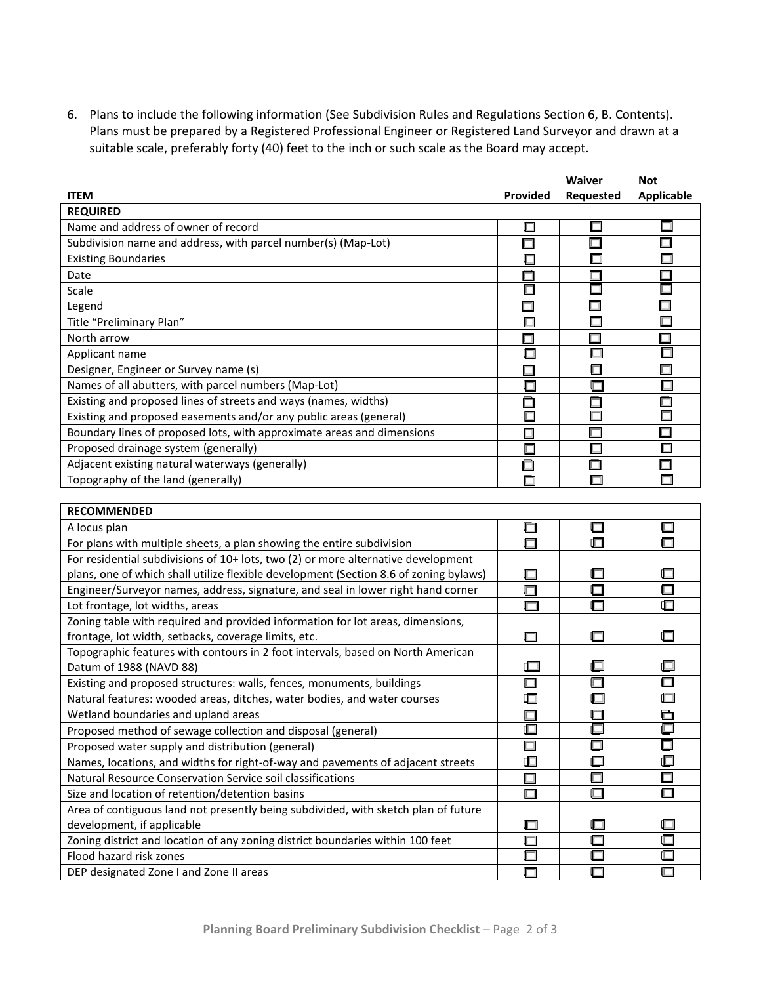6. Plans to include the following information (See Subdivision Rules and Regulations Section 6, B. Contents). Plans must be prepared by a Registered Professional Engineer or Registered Land Surveyor and drawn at a suitable scale, preferably forty (40) feet to the inch or such scale as the Board may accept.

|                                                                        |                 | <b>Waiver</b> | <b>Not</b>        |  |  |  |
|------------------------------------------------------------------------|-----------------|---------------|-------------------|--|--|--|
| <b>ITEM</b>                                                            | <b>Provided</b> | Requested     | <b>Applicable</b> |  |  |  |
| <b>REQUIRED</b>                                                        |                 |               |                   |  |  |  |
| Name and address of owner of record                                    | ⊏               | □             |                   |  |  |  |
| Subdivision name and address, with parcel number(s) (Map-Lot)          |                 |               |                   |  |  |  |
| <b>Existing Boundaries</b>                                             |                 |               |                   |  |  |  |
| Date                                                                   |                 |               |                   |  |  |  |
| Scale                                                                  |                 | П             |                   |  |  |  |
| Legend                                                                 |                 |               |                   |  |  |  |
| Title "Preliminary Plan"                                               | Ω               | П             |                   |  |  |  |
| North arrow                                                            |                 |               |                   |  |  |  |
| Applicant name                                                         | ⊓               |               |                   |  |  |  |
| Designer, Engineer or Survey name (s)                                  |                 | п             |                   |  |  |  |
| Names of all abutters, with parcel numbers (Map-Lot)                   | ℾ               |               |                   |  |  |  |
| Existing and proposed lines of streets and ways (names, widths)        |                 |               |                   |  |  |  |
| Existing and proposed easements and/or any public areas (general)      |                 |               |                   |  |  |  |
| Boundary lines of proposed lots, with approximate areas and dimensions | п               |               | ┍                 |  |  |  |
| Proposed drainage system (generally)                                   |                 | ⊓             | г                 |  |  |  |
| Adjacent existing natural waterways (generally)                        |                 |               |                   |  |  |  |
| Topography of the land (generally)                                     |                 |               |                   |  |  |  |

| <b>RECOMMENDED</b>                                                                    |        |        |        |  |  |  |
|---------------------------------------------------------------------------------------|--------|--------|--------|--|--|--|
| A locus plan                                                                          | □      | $\Box$ |        |  |  |  |
| For plans with multiple sheets, a plan showing the entire subdivision                 |        | Œ      |        |  |  |  |
| For residential subdivisions of 10+ lots, two (2) or more alternative development     |        |        |        |  |  |  |
| plans, one of which shall utilize flexible development (Section 8.6 of zoning bylaws) |        | □      |        |  |  |  |
| Engineer/Surveyor names, address, signature, and seal in lower right hand corner      | $\Box$ | $\Box$ | □      |  |  |  |
| Lot frontage, lot widths, areas                                                       | ⊓      | $\Box$ |        |  |  |  |
| Zoning table with required and provided information for lot areas, dimensions,        |        |        |        |  |  |  |
| frontage, lot width, setbacks, coverage limits, etc.                                  |        |        |        |  |  |  |
| Topographic features with contours in 2 foot intervals, based on North American       |        |        |        |  |  |  |
| Datum of 1988 (NAVD 88)                                                               |        | ▣      |        |  |  |  |
| Existing and proposed structures: walls, fences, monuments, buildings                 |        | $\Box$ | □      |  |  |  |
| Natural features: wooded areas, ditches, water bodies, and water courses              | ╓      | ⊡      |        |  |  |  |
| Wetland boundaries and upland areas                                                   |        | $\Box$ | È      |  |  |  |
| Proposed method of sewage collection and disposal (general)                           |        | $\Box$ |        |  |  |  |
| Proposed water supply and distribution (general)                                      |        | $\Box$ | $\Box$ |  |  |  |
| Names, locations, and widths for right-of-way and pavements of adjacent streets       |        | 匚      | ◫      |  |  |  |
| Natural Resource Conservation Service soil classifications                            |        | $\Box$ | П      |  |  |  |
| Size and location of retention/detention basins                                       |        | ⊓      |        |  |  |  |
| Area of contiguous land not presently being subdivided, with sketch plan of future    |        |        |        |  |  |  |
| development, if applicable                                                            |        | ⊡      |        |  |  |  |
| Zoning district and location of any zoning district boundaries within 100 feet        |        | $\Box$ |        |  |  |  |
| Flood hazard risk zones                                                               |        | 叵      |        |  |  |  |
| DEP designated Zone I and Zone II areas                                               |        | $\Box$ |        |  |  |  |